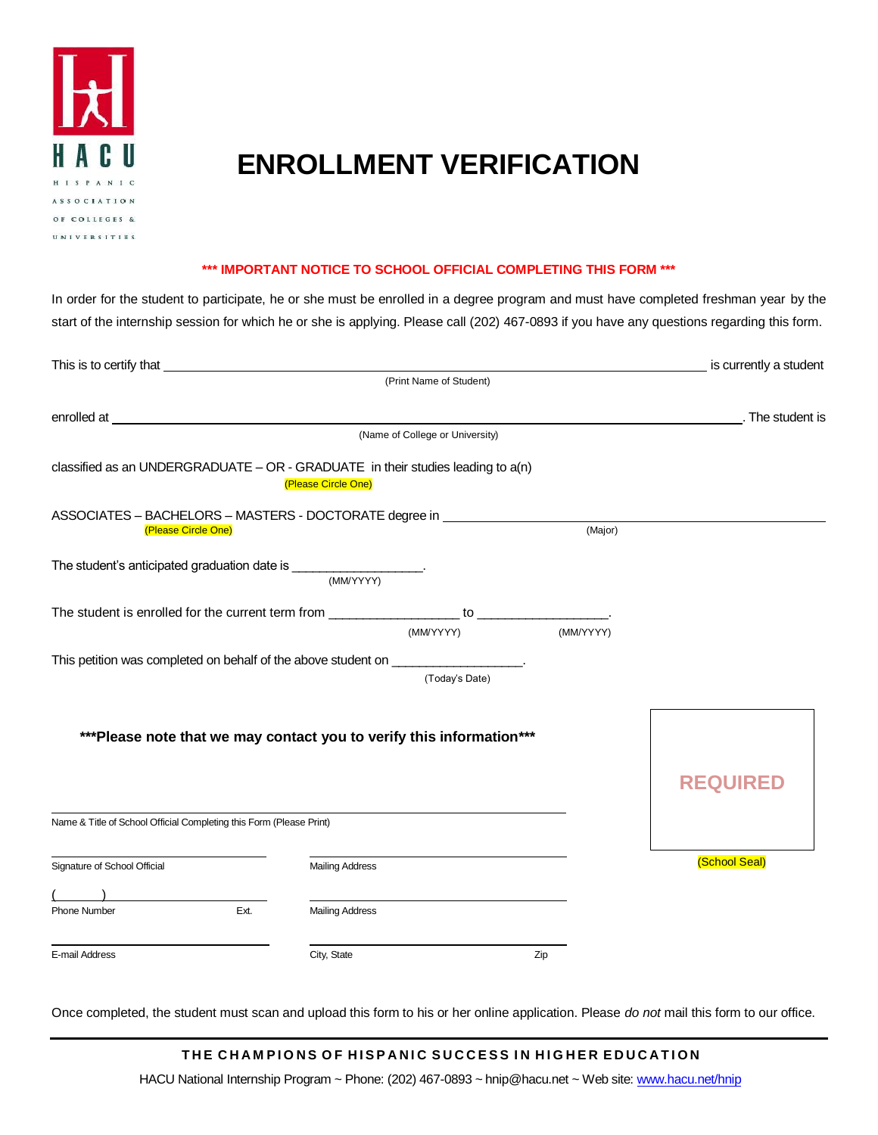

# **ENROLLMENT VERIFICATION**

#### **\*\*\* IMPORTANT NOTICE TO SCHOOL OFFICIAL COMPLETING THIS FORM \*\*\***

In order for the student to participate, he or she must be enrolled in a degree program and must have completed freshman year by the start of the internship session for which he or she is applying. Please call (202) 467-0893 if you have any questions regarding this form.

| This is to certify that                                                                                                                                                                                                                                                                                                                                       |                        |                                 |           | is currently a student                           |
|---------------------------------------------------------------------------------------------------------------------------------------------------------------------------------------------------------------------------------------------------------------------------------------------------------------------------------------------------------------|------------------------|---------------------------------|-----------|--------------------------------------------------|
|                                                                                                                                                                                                                                                                                                                                                               |                        | (Print Name of Student)         |           |                                                  |
| enrolled at entropy and the state of the state of the state of the state of the state of the state of the state of the state of the state of the state of the state of the state of the state of the state of the state of the                                                                                                                                |                        |                                 |           | <b>Example 2.1 The student is</b> the student is |
|                                                                                                                                                                                                                                                                                                                                                               |                        | (Name of College or University) |           |                                                  |
| classified as an UNDERGRADUATE $-$ OR - GRADUATE in their studies leading to $a(n)$                                                                                                                                                                                                                                                                           | (Please Circle One)    |                                 |           |                                                  |
| ASSOCIATES - BACHELORS - MASTERS - DOCTORATE degree in _________________________<br>(Please Circle One)                                                                                                                                                                                                                                                       |                        |                                 | (Major)   |                                                  |
| The student's anticipated graduation date is $\frac{1}{\frac{1}{2} \left(\frac{1}{2} \frac{1}{2} \frac{1}{2} \frac{1}{2} \frac{1}{2} \frac{1}{2} \frac{1}{2} \frac{1}{2} \frac{1}{2} \frac{1}{2} \frac{1}{2} \frac{1}{2} \frac{1}{2} \frac{1}{2} \frac{1}{2} \frac{1}{2} \frac{1}{2} \frac{1}{2} \frac{1}{2} \frac{1}{2} \frac{1}{2} \frac{1}{2} \frac{1}{2}$ |                        |                                 |           |                                                  |
|                                                                                                                                                                                                                                                                                                                                                               |                        | (MM/YYYY)                       | (MM/YYYY) |                                                  |
| This petition was completed on behalf of the above student on __________________.                                                                                                                                                                                                                                                                             |                        | (Today's Date)                  |           |                                                  |
| *** Please note that we may contact you to verify this information***                                                                                                                                                                                                                                                                                         |                        |                                 |           |                                                  |
|                                                                                                                                                                                                                                                                                                                                                               |                        |                                 |           | <b>REQUIRED</b>                                  |
| Name & Title of School Official Completing this Form (Please Print)                                                                                                                                                                                                                                                                                           |                        |                                 |           |                                                  |
| Signature of School Official                                                                                                                                                                                                                                                                                                                                  | <b>Mailing Address</b> |                                 |           | (School Seal)                                    |
| Ext.<br>Phone Number                                                                                                                                                                                                                                                                                                                                          | <b>Mailing Address</b> |                                 |           |                                                  |
| E-mail Address                                                                                                                                                                                                                                                                                                                                                | City, State            |                                 | Zip       |                                                  |

Once completed, the student must scan and upload this form to his or her online application. Please *do not* mail this form to our office.

### THE CHAMPIONS OF HISPANIC SUCCESS IN HIGHER EDUCATION